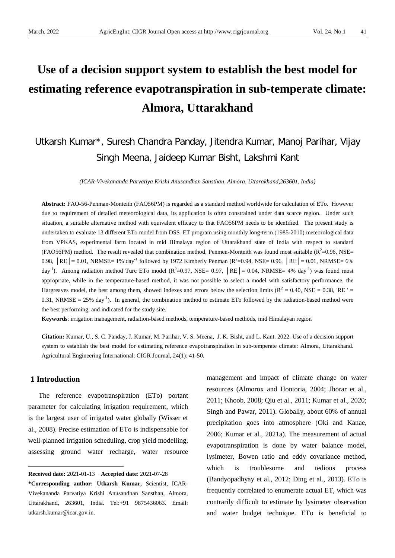# **Use of a decision support system to establish the best model for estimating reference evapotranspiration in sub-temperate climate: Almora, Uttarakhand**

# Utkarsh Kumar\*, Suresh Chandra Panday, Jitendra Kumar, Manoj Parihar, Vijay Singh Meena, Jaideep Kumar Bisht, Lakshmi Kant

*(ICAR-Vivekananda Parvatiya Krishi Anusandhan Sansthan, Almora, Uttarakhand,263601, India)*

**Abstract:** FAO-56-Penman-Monteith (FAO56PM) is regarded as a standard method worldwide for calculation of ETo. However due to requirement of detailed meteorological data, its application is often constrained under data scarce region. Under such situation, a suitable alternative method with equivalent efficacy to that FAO56PM needs to be identified. The present study is undertaken to evaluate 13 different ETo model from DSS\_ET program using monthly long-term (1985-2010) meteorological data from VPKAS, experimental farm located in mid Himalaya region of Uttarakhand state of India with respect to standard (FAO56PM) method. The result revealed that combination method, Penmen-Monteith was found most suitable ( $R^2$ =0.96, NSE= 0.98,  $|RE| = 0.01$ , NRMSE= 1% day<sup>-1</sup> followed by 1972 Kimberly Penman ( $R^2$ =0.94, NSE= 0.96,  $|RE| = 0.01$ , NRMSE= 6% day<sup>-1</sup>). Among radiation method Turc ETo model ( $R^2$ =0.97, NSE= 0.97, |RE = 0.04, NRMSE= 4% day<sup>-1</sup>) was found most appropriate, while in the temperature-based method, it was not possible to select a model with satisfactory performance, the Hargreaves model, the best among them, showed indexes and errors below the selection limits ( $R^2 = 0.40$ , NSE = 0.38, 'RE' =  $0.31$ , NRMSE = 25% day<sup>-1</sup>). In general, the combination method to estimate ETo followed by the radiation-based method were the best performing, and indicated for the study site.

**Keywords**: irrigation management, radiation-based methods, temperature-based methods, mid Himalayan region

**Citation:** Kumar, U., S. C. Panday, J. Kumar, M. Parihar, V. S. Meena, J. K. Bisht, and L. Kant. 2022. Use of a decision support system to establish the best model for estimating reference evapotranspiration in sub-temperate climate: Almora, Uttarakhand. Agricultural Engineering International: CIGR Journal, 24(1): 41-50.

#### **1 Introduction**

 $\overline{a}$ 

The reference evapotranspiration (ETo) portant parameter for calculating irrigation requirement, which is the largest user of irrigated water globally (Wisser et al., 2008). Precise estimation of ETo is indispensable for well-planned irrigation scheduling, crop yield modelling, assessing ground water recharge, water resource

management and impact of climate change on water resources (Almorox and Hontoria, 2004; Jhorar et al., 2011; Khoob, 2008; Qiu et al., 2011; Kumar et al., 2020; Singh and Pawar, 2011). Globally, about 60% of annual precipitation goes into atmosphere (Oki and Kanae, 2006; Kumar et al., 2021a). The measurement of actual evapotranspiration is done by water balance model, lysimeter, Bowen ratio and eddy covariance method, which is troublesome and tedious process (Bandyopadhyay et al., 2012; Ding et al., 2013). ETo is frequently correlated to enumerate actual ET, which was contrarily difficult to estimate by lysimeter observation and water budget technique. ETo is beneficial to

<span id="page-0-0"></span>**Received date:** 2021-01-13 **Accepted date**: 2021-07-28

**<sup>\*</sup>Corresponding author: Utkarsh Kumar,** Scientist, ICAR-Vivekananda Parvatiya Krishi Anusandhan Sansthan, Almora, Uttarakhand, 263601, India. Tel:+91 9875436063. Email: utkarsh.kumar@icar.gov.in.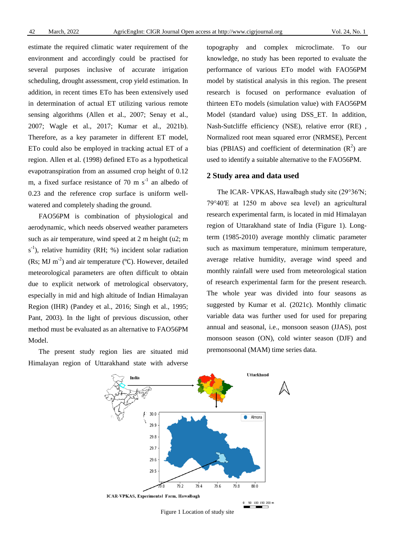estimate the required climatic water requirement of the environment and accordingly could be practised for several purposes inclusive of accurate irrigation scheduling, drought assessment, crop yield estimation. In addition, in recent times ETo has been extensively used in determination of actual ET utilizing various remote sensing algorithms (Allen et al., 2007; Senay et al., 2007; Wagle et al., 2017; Kumar et al., 2021b). Therefore, as a key parameter in different ET model, ETo could also be employed in tracking actual ET of a region. Allen et al. (1998) defined ETo as a hypothetical evapotranspiration from an assumed crop height of 0.12 m, a fixed surface resistance of 70 m  $s^{-1}$  an albedo of 0.23 and the reference crop surface is uniform wellwatered and completely shading the ground.

FAO56PM is combination of physiological and aerodynamic, which needs observed weather parameters such as air temperature, wind speed at 2 m height (u2; m  $s^{-1}$ ), relative humidity (RH; %) incident solar radiation (Rs; MJ m<sup>-2</sup>) and air temperature (°C). However, detailed meteorological parameters are often difficult to obtain due to explicit network of metrological observatory, especially in mid and high altitude of Indian Himalayan Region (IHR) (Pandey et al., 2016; Singh et al., 1995; Pant, 2003). In the light of previous discussion, other method must be evaluated as an alternative to FAO56PM Model.

The present study region lies are situated mid Himalayan region of Uttarakhand state with adverse topography and complex microclimate. To our knowledge, no study has been reported to evaluate the performance of various ETo model with FAO56PM model by statistical analysis in this region. The present research is focused on performance evaluation of thirteen ETo models (simulation value) with FAO56PM Model (standard value) using DSS\_ET. In addition, Nash-Sutcliffe efficiency (NSE), relative error (RE) , Normalized root mean squared error (NRMSE), Percent bias (PBIAS) and coefficient of determination  $(R^2)$  are used to identify a suitable alternative to the FAO56PM.

#### **2 Study area and data used**

The ICAR- VPKAS, Hawalbagh study site (29°36′N; 79°40′E at 1250 m above sea level) an agricultural research experimental farm, is located in mid Himalayan region of Uttarakhand state of India (Figure 1). Longterm (1985-2010) average monthly climatic parameter such as maximum temperature, minimum temperature, average relative humidity, average wind speed and monthly rainfall were used from meteorological station of research experimental farm for the present research. The whole year was divided into four seasons as suggested by Kumar et al. (2021c). Monthly climatic variable data was further used for used for preparing annual and seasonal, i.e., monsoon season (JJAS), post monsoon season (ON), cold winter season (DJF) and premonsoonal (MAM) time series data.



Figure 1 Location of study site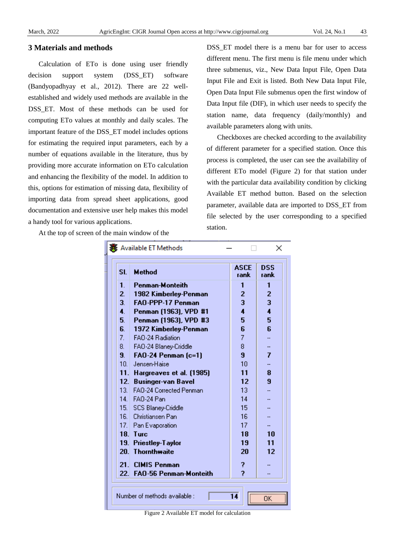# **3 Materials and methods**

Calculation of ETo is done using user friendly decision support system (DSS\_ET) software (Bandyopadhyay et al., 2012). There are 22 wellestablished and widely used methods are available in the DSS\_ET. Most of these methods can be used for computing ETo values at monthly and daily scales. The important feature of the DSS\_ET model includes options for estimating the required input parameters, each by a number of equations available in the literature, thus by providing more accurate information on ETo calculation and enhancing the flexibility of the model. In addition to this, options for estimation of missing data, flexibility of importing data from spread sheet applications, good documentation and extensive user help makes this model a handy tool for various applications.

At the top of screen of the main window of the

DSS\_ET model there is a menu bar for user to access different menu. The first menu is file menu under which three submenus, viz., New Data Input File, Open Data Input File and Exit is listed. Both New Data Input File, Open Data Input File submenus open the first window of Data Input file (DIF), in which user needs to specify the station name, data frequency (daily/monthly) and available parameters along with units.

Checkboxes are checked according to the availability of different parameter for a specified station. Once this process is completed, the user can see the availability of different ETo model (Figure 2) for that station under with the particular data availability condition by clicking Available ET method button. Based on the selection parameter, available data are imported to DSS\_ET from file selected by the user corresponding to a specified station.

| SI.             | <b>Method</b>                  | <b>ASCE</b><br>rank | DSS<br>rank |
|-----------------|--------------------------------|---------------------|-------------|
| 1.              | <b>Penman-Monteith</b>         | 1                   | 1           |
| 2.              | 1982 Kimberley-Penman          | 2                   | 2           |
| 3.              | 3<br><b>FAO-PPP-17 Penman</b>  |                     |             |
| 4.              | Penman (1963), VPD #1          | 4                   | 4           |
| 5.              | Penman (1963), VPD #3          | 5                   | 5           |
| 6.              | 1972 Kimberley-Penman          | 6                   | 6           |
| 7.              | FAO-24 Radiation               | 7                   |             |
| 8.              | FAO-24 Blaney-Criddle          | 8                   |             |
| 9.              | FAO-24 Penman (c=1)            | 9                   | 7           |
| 10.             | Jensen-Haise                   | 10                  |             |
| 11.             | Hargreaves et al. (1985)       | 11                  | 8           |
| 12.             | <b>Businger-van Bavel</b>      | 12                  | 9           |
| 13.             | <b>FAO-24 Corrected Penman</b> | 13                  |             |
| 14.             | FAO-24 Pan                     | 14                  |             |
|                 | 15. SCS Blaney-Criddle         | 15                  |             |
| 16.             | - Christiansen Pan             | 16                  |             |
| 17.             | Pan Evaporation                | 17                  |             |
| 18.             | Turc                           | 18                  | 10          |
| 19.             | <b>Priestley-Taylor</b>        | 19                  | 11          |
| 20.             | <b>Thornthwaite</b>            | 20                  | 12          |
| 21.             | <b>CIMIS Penman</b>            | 2                   |             |
| 22 <sub>1</sub> | <b>FAO-56 Penman-Monteith</b>  | z,                  |             |

Figure 2 Available ET model for calculation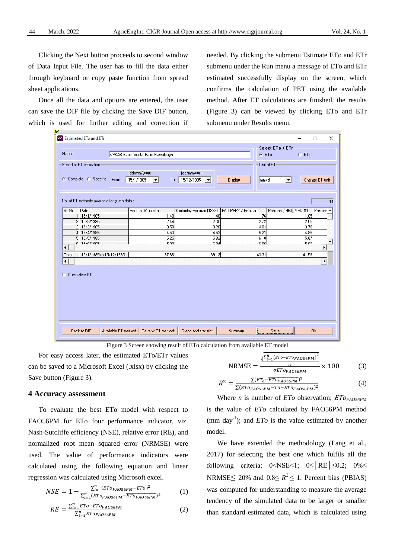Clicking the Next button proceeds to second window of Data Input File. The user has to fill the data either through keyboard or copy paste function from spread sheet applications.

Once all the data and options are entered, the user can save the DIF file by clicking the Save DIF button, which is used for further editing and correction if needed. By clicking the submenu Estimate ETo and ETr submenu under the Run menu a message of ETo and ETr estimated successfully display on the screen, which confirms the calculation of PET using the available method. After ET calculations are finished, the results (Figure 3) can be viewed by clicking ETo and ETr submenu under Results menu.

| $\omega$<br><b>Estimated ETo and ETr</b><br>×<br>$\Box$                                                                                                                                                                          |                                           |                             |                   |                                   |  |  |  |
|----------------------------------------------------------------------------------------------------------------------------------------------------------------------------------------------------------------------------------|-------------------------------------------|-----------------------------|-------------------|-----------------------------------|--|--|--|
| Station:<br>VPKAS Experimental Farm Hawalbagh                                                                                                                                                                                    | $G$ ETo                                   | Select ETo / ETr<br>$C$ ETr |                   |                                   |  |  |  |
| Period of ET estimation:<br>Unit of ET-<br>(dd/mm/yyyy)<br>(dd/mm/yyyy)<br>C Complete C Specific<br>To: 15/12/1985<br>15/1/1985<br>From:<br>mm/d<br>Change ET unit<br>Display<br>$\vert \cdot \vert$<br>$\vert \cdot \vert$<br>≛ |                                           |                             |                   |                                   |  |  |  |
| No. of ET methods available for given data :<br>$\overline{14}$                                                                                                                                                                  |                                           |                             |                   |                                   |  |  |  |
| Date<br>SI. No.                                                                                                                                                                                                                  | Penman-Monteith                           | Kimberley-Penman (1982)     | FAO-PPP-17 Penman | Penman (1963), VPD #1<br>Penmar ▲ |  |  |  |
| 15/1/1985<br>$\overline{1}$                                                                                                                                                                                                      | 1.48                                      | 1.40                        | 1.76              | 1.65                              |  |  |  |
| $\overline{c}$<br>15/2/1985                                                                                                                                                                                                      | 2.44                                      | 2.30                        | 2.72              | 2.55                              |  |  |  |
| 3<br>15/3/1985                                                                                                                                                                                                                   | 3.50                                      | 3.28                        | 4.01              | 3.70                              |  |  |  |
| 15/4/1985                                                                                                                                                                                                                        | 4.53                                      | 4.53                        | 5.21              | 4.85                              |  |  |  |
| 15/5/1985<br>5<br>6 15/6/1985                                                                                                                                                                                                    | 5.25<br>म आ                               | 5.82<br>6.24                | 6.10<br>lan a     | 5.67<br>5.89                      |  |  |  |
| $\blacktriangleleft$                                                                                                                                                                                                             |                                           |                             |                   | ▶                                 |  |  |  |
| 15/1/1985 to 15/12/1985<br>Total                                                                                                                                                                                                 | 37.86                                     | 39.12                       | 43.31             | 41.58                             |  |  |  |
| $\blacktriangleleft$<br>٠<br>Cumulative ET                                                                                                                                                                                       |                                           |                             |                   |                                   |  |  |  |
| Back to DIF                                                                                                                                                                                                                      | Available ET methods   Re-rank ET methods | Graph and statistics        | Summary           | <b>Ok</b><br>Save                 |  |  |  |

Figure 3 Screen showing result of ETo calculation from available ET model

For easy access later, the estimated ETo/ETr values can be saved to a Microsoft Excel (.xlsx) by clicking the Save button (Figure 3).

# **4 Accuracy assessment**

To evaluate the best ETo model with respect to FAO56PM for ETo four performance indicator, viz. Nash-Sutcliffe efficiency (NSE), relative error (RE), and normalized root mean squared error (NRMSE) were used. The value of performance indicators were calculated using the following equation and linear regression was calculated using Microsoft excel.

$$
NSE = 1 - \frac{\sum_{i=1}^{n} (ETo_{FAO56PM} - ETO)^{2}}{\sum_{i=1}^{n} (ETo_{FAO56PM} - ETO_{FAO56PM})^{2}}
$$
(1)

$$
RE = \frac{\sum_{i=1}^{n} ETO - ETO_{FAO56PM}}{\sum_{i=1}^{n} ETO_{FAO56PM}}
$$
(2)

$$
NRMSE = \frac{\frac{\sqrt{\sum_{i=1}^{n} (ETo - ETo_{FAO56PM})}^{2}}{n}}{\sigma ETo_{FAO56PM}} \times 100
$$
 (3)

$$
R^2 = \frac{\Sigma(\text{ET}_o - \overline{\text{ET}}o_{FAO56PM})^2}{\Sigma(\text{ET}_o_{FAO56PM} - \text{TO}-\text{ET}_o_{FAO56PM})^2}
$$
(4)

Where *n* is number of *ETo* observation; *ETO<sub>FAO56PM</sub>* is the value of *ETo* calculated by FAO56PM method (mm day<sup>-1</sup>); and  $ETo$  is the value estimated by another model.

We have extended the methodology (Lang et al., 2017) for selecting the best one which fulfils all the following criteria:  $0 < NSE < 1$ ;  $0 \le |RE| \le 0.2$ ;  $0\% \le$ NRMSE $\leq$  20% and 0.8 $\leq$  *R*<sup>2</sup> $\leq$  1. Percent bias (PBIAS) was computed for understanding to measure the average tendency of the simulated data to be larger or smaller than standard estimated data, which is calculated using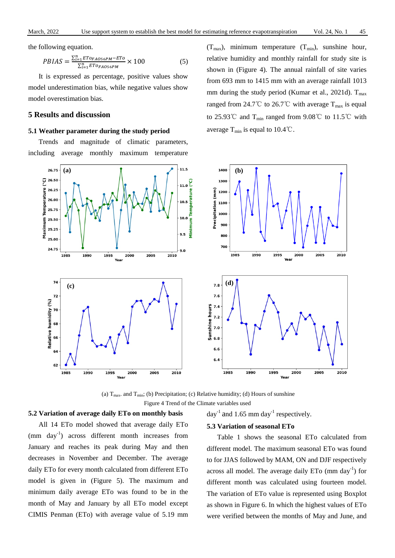the following equation.

$$
PBIAS = \frac{\sum_{i=1}^{n} ETo_{FAO56PM} - ETo}{\sum_{i=1}^{n} ETo_{FAO56PM}} \times 100
$$
 (5)

It is expressed as percentage, positive values show model underestimation bias, while negative values show model overestimation bias.

# **5 Results and discussion**

#### **5.1 Weather parameter during the study period**

Trends and magnitude of climatic parameters, including average monthly maximum temperature

shown in (Figure 4). The annual rainfall of site varies from 693 mm to 1415 mm with an average rainfall 1013 mm during the study period (Kumar et al., 2021d).  $T_{\text{max}}$ ranged from 24.7°C to 26.7°C with average  $T_{\text{max}}$  is equal to 25.93℃ and T<sub>min</sub> ranged from 9.08℃ to 11.5℃ with average  $T_{\text{min}}$  is equal to 10.4°C.

 $(T_{\text{max}})$ , minimum temperature  $(T_{\text{min}})$ , sunshine hour, relative humidity and monthly rainfall for study site is



(a)  $T_{\text{max}}$  and  $T_{\text{min}}$ ; (b) Precipitation; (c) Relative humidity; (d) Hours of sunshine Figure 4 Trend of the Climate variables used

# **5.2 Variation of average daily ETo on monthly basis**

All 14 ETo model showed that average daily ETo  $(nm \, day^{-1})$  across different month increases from January and reaches its peak during May and then decreases in November and December. The average daily ETo for every month calculated from different ETo model is given in (Figure 5). The maximum and minimum daily average ETo was found to be in the month of May and January by all ETo model except CIMIS Penman (ETo) with average value of 5.19 mm

#### **5.3 Variation of seasonal ETo**

day<sup>-1</sup> and 1.65 mm day<sup>-1</sup> respectively.

Table 1 shows the seasonal ETo calculated from different model. The maximum seasonal ETo was found to for JJAS followed by MAM, ON and DJF respectively across all model. The average daily ETo (mm day<sup>-1</sup>) for different month was calculated using fourteen model. The variation of ETo value is represented using Boxplot as shown in Figure 6. In which the highest values of ETo were verified between the months of May and June, and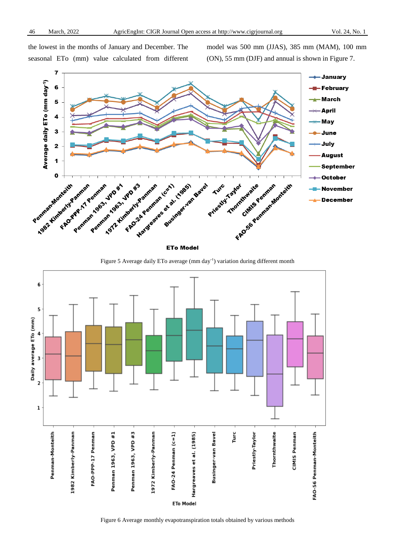the lowest in the months of January and December. The seasonal ETo (mm) value calculated from different model was 500 mm (JJAS), 385 mm (MAM), 100 mm (ON), 55 mm (DJF) and annual is shown in Figure 7.



Figure 5 Average daily ETo average (mm day<sup>-1</sup>) variation during different month



Figure 6 Average monthly evapotranspiration totals obtained by various methods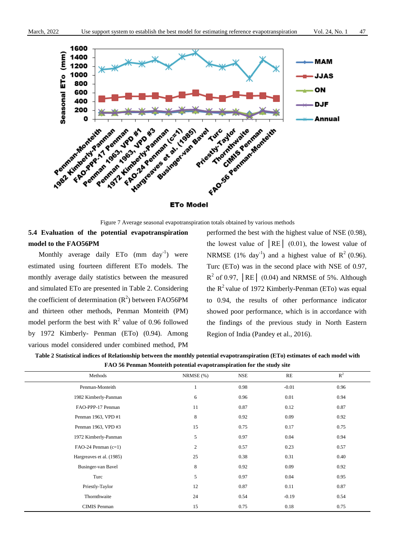

#### **ETo Model**

Figure 7 Average seasonal evapotranspiration totals obtained by various methods

# **5.4 Evaluation of the potential evapotranspiration model to the FAO56PM**

Monthly average daily  $ETo$  (mm day<sup>-1</sup>) were estimated using fourteen different ETo models. The monthly average daily statistics between the measured and simulated ETo are presented in Table 2. Considering the coefficient of determination  $(R^2)$  between FAO56PM and thirteen other methods, Penman Monteith (PM) model perform the best with  $R^2$  value of 0.96 followed by 1972 Kimberly- Penman (ETo) (0.94). Among various model considered under combined method, PM

performed the best with the highest value of NSE (0.98), the lowest value of  $|RE|$  (0.01), the lowest value of NRMSE (1% day<sup>-1</sup>) and a highest value of  $R^2$  (0.96). Turc (ETo) was in the second place with NSE of 0.97,  $R^2$  of 0.97,  $|RE|$  (0.04) and NRMSE of 5%. Although the  $R^2$  value of 1972 Kimberly-Penman (ETo) was equal to 0.94, the results of other performance indicator showed poor performance, which is in accordance with the findings of the previous study in North Eastern Region of India (Pandey et al., 2016).

| Table 2 Statistical indices of Relationship between the monthly potential evapotranspiration (ETo) estimates of each model with |
|---------------------------------------------------------------------------------------------------------------------------------|
| FAO 56 Penman Monteith potential evapotranspiration for the study site                                                          |

| Methods                  | NRMSE $(\%)$ | <b>NSE</b> | RE      | $R^2$ |
|--------------------------|--------------|------------|---------|-------|
| Penman-Monteith          |              | 0.98       | $-0.01$ | 0.96  |
| 1982 Kimberly-Panman     | 6            | 0.96       | 0.01    | 0.94  |
| FAO-PPP-17 Penman        | 11           | 0.87       | 0.12    | 0.87  |
| Penman 1963, VPD #1      | 8            | 0.92       | 0.09    | 0.92  |
| Penman 1963, VPD #3      | 15           | 0.75       | 0.17    | 0.75  |
| 1972 Kimberly-Panman     | 5            | 0.97       | 0.04    | 0.94  |
| FAO-24 Penman $(c=1)$    | 2            | 0.57       | 0.23    | 0.57  |
| Hargreaves et al. (1985) | 25           | 0.38       | 0.31    | 0.40  |
| Businger-van Bavel       | $\,8\,$      | 0.92       | 0.09    | 0.92  |
| Turc                     | 5            | 0.97       | 0.04    | 0.95  |
| Priestly-Taylor          | 12           | 0.87       | 0.11    | 0.87  |
| Thornthwaite             | 24           | 0.54       | $-0.19$ | 0.54  |
| <b>CIMIS Penman</b>      | 15           | 0.75       | 0.18    | 0.75  |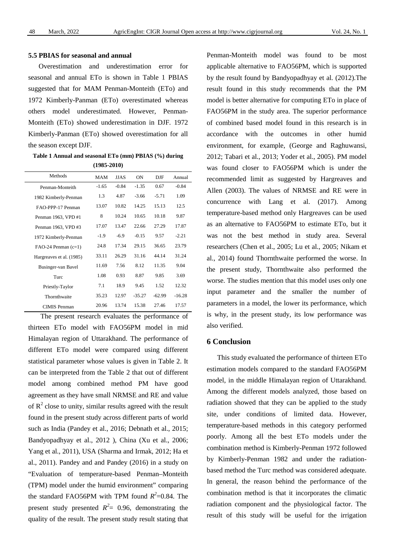# **5.5 PBIAS for seasonal and annual**

Overestimation and underestimation error for seasonal and annual ETo is shown in Table 1 PBIAS suggested that for MAM Penman-Monteith (ETo) and 1972 Kimberly-Panman (ETo) overestimated whereas others model underestimated. However, Penman-Monteith (ETo) showed underestimation in DJF. 1972 Kimberly-Panman (ETo) showed overestimation for all the season except DJF.

**Table 1 Annual and seasonal ETo (mm) PBIAS (%) during (1985-2010)**

| Methods                  | <b>MAM</b> | <b>JJAS</b> | <b>ON</b> | DJF      | Annual   |
|--------------------------|------------|-------------|-----------|----------|----------|
| Penman-Monteith          | $-1.65$    | $-0.84$     | $-1.35$   | 0.67     | $-0.84$  |
| 1982 Kimberly-Penman     | 1.3        | 4.87        | $-3.66$   | $-5.71$  | 1.09     |
| FAO-PPP-17 Penman        | 13.07      | 10.82       | 14.25     | 15.13    | 12.5     |
| Penman 1963, VPD #1      | 8          | 10.24       | 10.65     | 10.18    | 9.87     |
| Penman 1963, VPD #3      | 17.07      | 13.47       | 22.66     | 27.29    | 17.87    |
| 1972 Kimberly-Penman     | $-1.9$     | $-6.9$      | $-0.15$   | 9.57     | $-2.21$  |
| $FAO-24$ Penman $(c=1)$  | 24.8       | 17.34       | 29.15     | 36.65    | 23.79    |
| Hargreaves et al. (1985) | 33.11      | 26.29       | 31.16     | 44.14    | 31.24    |
| Businger-van Bavel       | 11.69      | 7.56        | 8.12      | 11.35    | 9.04     |
| Turc                     | 1.08       | 0.93        | 8.87      | 9.85     | 3.69     |
| Priestly-Taylor          | 7.1        | 18.9        | 9.45      | 1.52     | 12.32    |
| Thornthwaite             | 35.23      | 12.97       | $-35.27$  | $-62.99$ | $-16.28$ |
| <b>CIMIS</b> Penman      | 20.96      | 13.74       | 15.38     | 27.46    | 17.57    |

The present research evaluates the performance of thirteen ETo model with FAO56PM model in mid Himalayan region of Uttarakhand. The performance of different ETo model were compared using different statistical parameter whose values is given in Table 2. It can be interpreted from the Table 2 that out of different model among combined method PM have good agreement as they have small NRMSE and RE and value of  $R^2$  close to unity, similar results agreed with the result found in the present study across different parts of world such as India (Pandey et al., 2016; Debnath et al., 2015; Bandyopadhyay et al., 2012 ), China (Xu et al., 2006; Yang et al., 2011), USA (Sharma and Irmak, 2012; Ha et al., 2011). Pandey and and Pandey (2016) in a study on "Evaluation of temperature-based Penman–Monteith (TPM) model under the humid environment" comparing the standard FAO56PM with TPM found  $R^2 = 0.84$ . The present study presented  $R^2 = 0.96$ , demonstrating the quality of the result. The present study result stating that

Penman-Monteith model was found to be most applicable alternative to FAO56PM, which is supported by the result found by Bandyopadhyay et al. (2012).The result found in this study recommends that the PM model is better alternative for computing ETo in place of FAO56PM in the study area. The superior performance of combined based model found in this research is in accordance with the outcomes in other humid environment, for example, (George and Raghuwansi, 2012; Tabari et al., 2013; Yoder et al., 2005). PM model was found closer to FAO56PM which is under the recommended limit as suggested by Hargreaves and Allen (2003). The values of NRMSE and RE were in concurrence with Lang et al. (2017). Among temperature-based method only Hargreaves can be used as an alternative to FAO56PM to estimate ETo, but it was not the best method in study area. Several researchers (Chen et al., 2005; Lu et al., 2005; Nikam et al., 2014) found Thornthwaite performed the worse. In the present study, Thornthwaite also performed the worse. The studies mention that this model uses only one input parameter and the smaller the number of parameters in a model, the lower its performance, which is why, in the present study, its low performance was also verified.

# **6 Conclusion**

This study evaluated the performance of thirteen ETo estimation models compared to the standard FAO56PM model, in the middle Himalayan region of Uttarakhand. Among the different models analyzed, those based on radiation showed that they can be applied to the study site, under conditions of limited data. However, temperature-based methods in this category performed poorly. Among all the best ETo models under the combination method is Kimberly-Penman 1972 followed by Kimberly-Penman 1982 and under the radiationbased method the Turc method was considered adequate. In general, the reason behind the performance of the combination method is that it incorporates the climatic radiation component and the physiological factor. The result of this study will be useful for the irrigation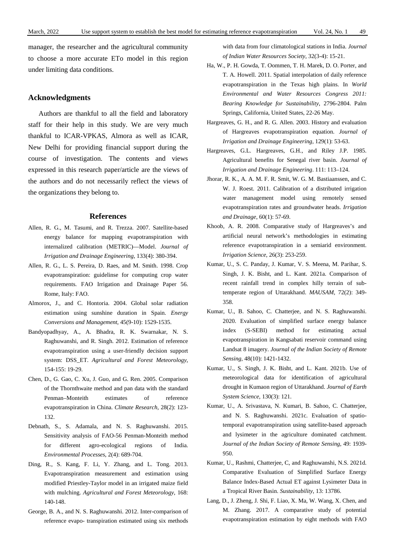manager, the researcher and the agricultural community to choose a more accurate ETo model in this region under limiting data conditions.

### **Acknowledgments**

Authors are thankful to all the field and laboratory staff for their help in this study. We are very much thankful to ICAR-VPKAS, Almora as well as ICAR, New Delhi for providing financial support during the course of investigation. The contents and views expressed in this research paper/article are the views of the authors and do not necessarily reflect the views of the organizations they belong to.

# **References**

- Allen, R. G., M. Tasumi, and R. Trezza. 2007. Satellite-based energy balance for mapping evapotranspiration with internalized calibration (METRIC)—Model. *Journal of Irrigation and Drainage Engineering*, 133(4): 380-394.
- Allen, R. G., L. S. Pereira, D. Raes, and M. Smith. 1998. Crop evapotranspiration: guidelinse for computing crop water requirements. FAO Irrigation and Drainage Paper 56. Rome, Italy: FAO.
- Almorox, J., and C. Hontoria. 2004. Global solar radiation estimation using sunshine duration in Spain. *Energy Conversions and Management*, 45(9-10): 1529-1535.
- Bandyopadhyay, A., A. Bhadra, R. K. Swarnakar, N. S. Raghuwanshi, and R. Singh. 2012. Estimation of reference evapotranspiration using a user-friendly decision support system: DSS\_ET. *Agricultural and Forest Meteorology*, 154-155: 19-29.
- Chen, D., G. Gao, C. Xu, J. Guo, and G. Ren. 2005. Comparison of the Thornthwaite method and pan data with the standard Penman–Monteith estimates of reference evapotranspiration in China. *Climate Research*, 28(2): 123- 132.
- Debnath, S., S. Adamala, and N. S. Raghuwanshi. 2015. Sensitivity analysis of FAO-56 Penman-Monteith method for different agro-ecological regions of India. *Environmental Processes*, 2(4): 689-704.
- Ding, R., S. Kang, F. Li, Y. Zhang, and L. Tong. 2013. Evapotranspiration measurement and estimation using modified Priestley-Taylor model in an irrigated maize field with mulching. *Agricultural and Forest Meteorology*, 168: 140-148.
- George, B. A., and N. S. Raghuwanshi. 2012. Inter-comparison of reference evapo- transpiration estimated using six methods

with data from four climatological stations in India. *Journal of Indian Water Resources Society*, 32(3-4): 15-21.

- Ha, W., P. H. Gowda, T. Oommen, T. H. Marek, D. O. Porter, and T. A. Howell. 2011. Spatial interpolation of daily reference evapotranspiration in the Texas high plains. In *World Environmental and Water Resources Congress 2011: Bearing Knowledge for Sustainability*, 2796-2804. Palm Springs, California, United States, 22-26 May.
- Hargreaves, G. H., and R. G. Allen. 2003. History and evaluation of Hargreaves evapotranspiration equation. *Journal of Irrigation and Drainage Engineering*, 129(1): 53-63.
- Hargreaves, G.L. Hargreaves, G.H., and Riley J.P. 1985. Agricultural benefits for Senegal river basin. *Journal of Irrigation and Drainage Engineering*. 111: 113–124.
- Jhorar, R. K., A. A. M. F. R. Smit, W. G. M. Bastiaanssen, and C. W. J. Roest. 2011. Calibration of a distributed irrigation water management model using remotely sensed evapotranspiration rates and groundwater heads. *Irrigation and Drainage*, 60(1): 57-69.
- Khoob, A. R. 2008. Comparative study of Hargreaves's and artificial neural network's methodologies in estimating reference evapotranspiration in a semiarid environment. *Irrigation Science*, 26(3): 253-259.
- Kumar, U., S. C. Panday, J. Kumar, V. S. Meena, M. Parihar, S. Singh, J. K. Bisht, and L. Kant. 2021a. Comparison of recent rainfall trend in complex hilly terrain of subtemperate region of Uttarakhand. *MAUSAM*, 72(2): 349- 358.
- Kumar, U., B. Sahoo, C. Chatterjee, and N. S. Raghuwanshi. 2020. Evaluation of simplified surface energy balance index (S-SEBI) method for estimating actual evapotranspiration in Kangsabati reservoir command using Landsat 8 imagery. *Journal of the Indian Society of Remote Sensing*, 48(10): 1421-1432.
- Kumar, U., S. Singh, J. K. Bisht, and L. Kant. 2021b. Use of meteorological data for identification of agricultural drought in Kumaon region of Uttarakhand. *Journal of Earth System Science*, 130(3): 121.
- Kumar, U., A. Srivastava, N. Kumari, B. Sahoo, C. Chatterjee, and N. S. Raghuwanshi. 2021c. Evaluation of spatiotemporal evapotranspiration using satellite-based approach and lysimeter in the agriculture dominated catchment. *Journal of the Indian Society of Remote Sensing*, 49: 1939- 950.
- Kumar, U., Rashmi, Chatterjee, C, and Raghuwanshi, N.S. 2021d. Comparative Evaluation of Simplified Surface Energy Balance Index-Based Actual ET against Lysimeter Data in a Tropical River Basin. *Sustainability*, 13: 13786.
- Lang, D., J. Zheng, J. Shi, F. Liao, X. Ma, W. Wang, X. Chen, and M. Zhang. 2017. A comparative study of potential evapotranspiration estimation by eight methods with FAO